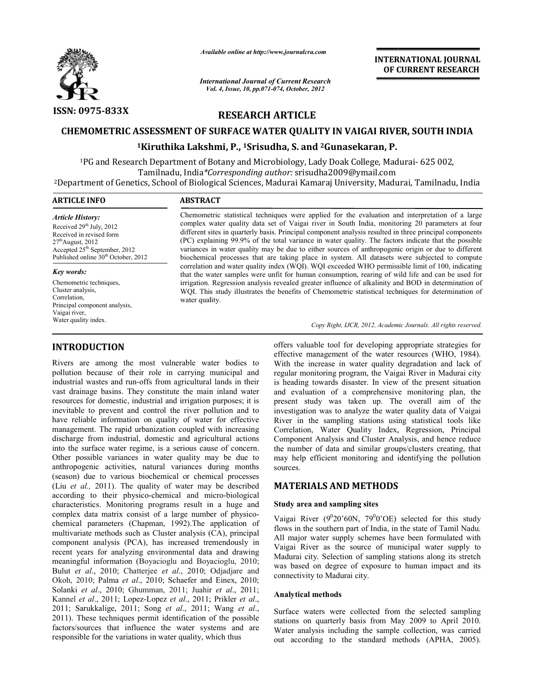

*Available online at http://www.journalcra.com*

*International Journal of Current Research Vol. ternational 4, Issue, 10, pp.071-074, October, <sup>2012</sup>*

**INTERNATIONAL JOURNAL OF CURRENT RESEARCH** 

# **RESEARCH ARTICLE**

# **CHEMOMETRIC ASSESSMENT OF SURFACE WATER QUALITY IN VAIGAI RIVER, SOUTH INDIA 1Kiruthika Lakshmi, Kiruthika P., 1Srisudha, S. and 2Gunasekaran, P.**

<sup>1</sup>PG and Research Department of Botany and Microbiology, Lady Doak College, Madurai- 625 002, PG and Research Department of Botany and Microbiology, Lady Doak College, Mac<br>Tamilnadu, India*\*Corresponding author:* srisudha2009@ymail.com 2Department of Genetics, School of Biological Sciences Department Sciences, Madurai Kamaraj University, Madurai, durai Tamilnadu, India

## **ARTICLE INFO ABSTRACT** Chemometric statistical techniques were applied for the evaluation and interpretation of a large *Article History:*

Received 29<sup>th</sup> July, 2012 Received in revised form  $27<sup>th</sup>$ August, 2012 Accepted 25th September, 2012 Published online 30<sup>th</sup> October, 2012

#### *Key words:*

Chemometric techniques, Cluster analysis, Correlation, Principal component analysis, Vaigai river, Water quality index.

# **INTRODUCTION**

Rivers are among the most vulnerable water bodies to pollution because of their role in carrying municipal and industrial wastes and run-offs from agricultural lands in their vast drainage basins. They constitute the main inland water resources for domestic, industrial and irrigation purposes; it is inevitable to prevent and control the river pollution and to have reliable information on quality of water for effective management. The rapid urbanization coupled with increasing discharge from industrial, domestic and agricultural actions into the surface water regime, is a serious cause of concern. Other possible variances in water quality may be due to anthropogenic activities, natural variances during months (season) due to various biochemical or chemical pr (Liu *et al.,* 2011). The quality of water may be described (Liu *et al.*, 2011). The quality of water may be described according to their physico-chemical and micro-biological characteristics. Monitoring programs result in a huge and characteristics. Monitoring programs result in a huge and complex data matrix consist of a large number of physicochemical parameters (Chapman, 1992).The application of chemical parameters (Chapman, 1992). The application of multivariate methods such as Cluster analysis (CA), principal component analysis (PCA), has increased tremendously in recent years for analyzing environmental data and drawing recent years for analyzing environmental data and drawing<br>meaningful information (Boyacioglu and Boyacioglu, 2010; Bulut *et al*., 2010; Chatterjee *et al*., 2010; Odjadjare and Okoh, 2010; Palma *et al*., 2010; Schaefer and Einex, 2010; Okoh, 2010; Palma *et al.*, 2010; Schaefer and Einex, 2010; Solanki *et al.*, 2011; Juahir *et al.*, 2011; Kannel *et al*., 2011; Lopez-Lopez *et al*., 2011; Prikler *et al*., 2011; Sarukkalige, 2011; Song *et al*., 2011; Wang *et al*., 2011). These techniques permit identification of the possible factors/sources that influence the water systems and are responsible for the variations in water quality, which thus pollution because of their role in carrying municipal and industrial wastes and run-offs from agricultural lands in their vast drainage basins. They constitute the main inland water resources for domestic, industrial and i **RODUCTION**<br>
offers valuable tool for developing appropriate strategies for<br>
for the security of the strategies for<br>
strategies for different strategies for the strategies for the strategies<br>
of the strategies for any sig

complex water quality data set of Vaigai river in South India, monitoring 20 parameters at four complex water quality data set of Vaigai river in South India, monitoring 20 parameters at four different sites in quarterly basis. Principal component analysis resulted in three principal components (PC) explaining 99.9% of the total variance in water quality. The factors indicate that the possible variances in water quality may be due to either sources of anthropogenic origin or due to different variances in water quality may be due to either sources of anthropogenic origin or due to different biochemical processes that are taking place in system. All datasets were subjected to compute correlation and water quality index (WQI). WQI exceeded WHO permissible limit of 100, indicating that the water samples were unfit for human consumption, rearing of wild life and can be used for irrigation. Regression analysis revealed greater influence of alkalinity and BOD in determination of WQI. This study illustrates the benefits of Chemometric statistical techniques for determination of water quality. ation and water quality index (WQI). WQI exceeded WHO permissible limit of 100, inde water samples were unfit for human consumption, rearing of wild life and can be u ion. Regression analysis revealed greater influence of Chemometric statistical techniques were applied for the evaluation and interpretation of a large complex water quality data set of Vaigai river in South India, monitoring 20 parameters at four different sites in quarterly

Copy Right, IJCR, 2012, Academic Journals. All rights reserved.

effective management of the water resources (WHO, 1984). With the increase in water quality degradation and lack of regular monitoring program, the Vaigai River in Madurai city is heading towards disaster. In view of the present situation and evaluation of a comprehensive monitoring plan, the present study was taken up. The overall aim of the investigation was to analyze the water quality data of Vaigai River in the sampling stations using statistical tools li like Correlation, Water Quality Index, Regression, Principal Component Analysis and Cluster Analysis, and hence reduce the number of data and similar groups/clusters creating, that may help efficient monitoring and identifying the pollution sources. offers valuable tool for developing appropriate strategies for effective management of the water resources (WHO, 1984). With the increase in water quality degradation and lack of regular monitoring program, the Vaigai Rive **INTERNATIONAL JOURNAL**<br> **IDENTIFY IN VAIGAI RIVER, SOUTH INDIA**<br> **IDENTIFY IN VAIGAI RIVER, SOUTH INDIA**<br> **ITY IN VAIGAI RIVER, SOUTH INDIA**<br> **ITY IN VAIGAI RIVER, SOUTH INDIA**<br> **ICENTIFY IN VAIGAI RIVER, SOUTH INDIA**<br>

# **MATERIALS AND METHODS**

## **Study area and sampling sites**

Vaigai River  $(9^020'60N, 79^00'OE)$  selected for this study flows in the southern part of India, in the state of Tamil Nadu. All major water supply schemes have been formulated with Vaigai River as the source of municipal water supply to Madurai city. Selection of sampling stations along its stretch was based on degree of exposure to human impact and its connectivity to Madurai city. the number of data and similar groups/clusters creating, that<br>may help efficient monitoring and identifying the pollution<br>sources.<br>**MATERIALS AND METHODS**<br>Study area and sampling sites<br>Vaigai River ( $9^020'60N$ ,  $79^00'OE$ 

### **Analytical methods**

Surface waters were collected from the selected sampling stations on quarterly basis from May 2009 to April 2010. Water analysis including the sample collection, was carried out according to the standard methods (APHA, 2005).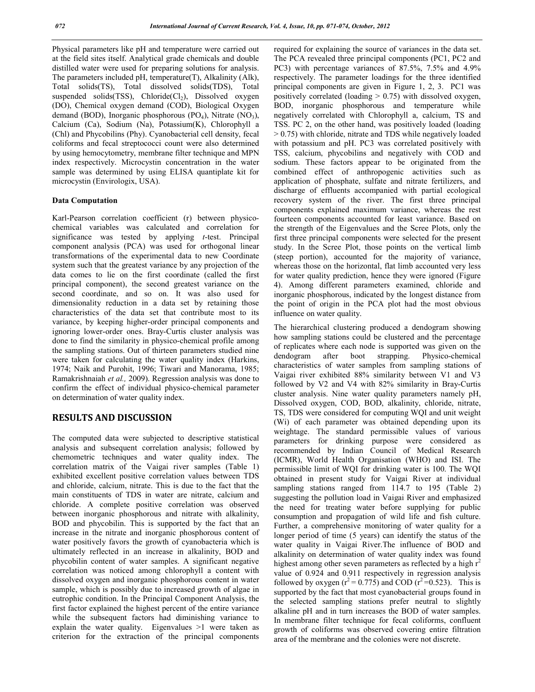Physical parameters like pH and temperature were carried out at the field sites itself. Analytical grade chemicals and double distilled water were used for preparing solutions for analysis. The parameters included pH, temperature(T), Alkalinity (Alk), Total solids(TS), Total dissolved solids(TDS), Total suspended solids(TSS), Chloride( $Cl<sub>2</sub>$ ), Dissolved oxygen (DO), Chemical oxygen demand (COD), Biological Oxygen demand (BOD), Inorganic phosphorous (PO<sub>4</sub>), Nitrate (NO<sub>3</sub>), Calcium (Ca), Sodium (Na), Potassium(K), Chlorophyll a (Chl) and Phycobilins (Phy). Cyanobacterial cell density, fecal coliforms and fecal streptococci count were also determined by using hemocytometry, membrane filter technique and MPN index respectively. Microcystin concentration in the water sample was determined by using ELISA quantiplate kit for microcystin (Envirologix, USA).

#### **Data Computation**

Karl-Pearson correlation coefficient (r) between physicochemical variables was calculated and correlation for significance was tested by applying *t*-test. Principal component analysis (PCA) was used for orthogonal linear transformations of the experimental data to new Coordinate system such that the greatest variance by any projection of the data comes to lie on the first coordinate (called the first principal component), the second greatest variance on the second coordinate, and so on. It was also used for dimensionality reduction in a data set by retaining those characteristics of the data set that contribute most to its variance, by keeping higher-order principal components and ignoring lower-order ones. Bray-Curtis cluster analysis was done to find the similarity in physico-chemical profile among the sampling stations. Out of thirteen parameters studied nine were taken for calculating the water quality index (Harkins, 1974; Naik and Purohit, 1996; Tiwari and Manorama, 1985; Ramakrishnaiah *et al.,* 2009). Regression analysis was done to confirm the effect of individual physico-chemical parameter on determination of water quality index.

# **RESULTS AND DISCUSSION**

The computed data were subjected to descriptive statistical analysis and subsequent correlation analysis; followed by chemometric techniques and water quality index. The correlation matrix of the Vaigai river samples (Table 1) exhibited excellent positive correlation values between TDS and chloride, calcium, nitrate. This is due to the fact that the main constituents of TDS in water are nitrate, calcium and chloride. A complete positive correlation was observed between inorganic phosphorous and nitrate with alkalinity, BOD and phycobilin. This is supported by the fact that an increase in the nitrate and inorganic phosphorous content of water positively favors the growth of cyanobacteria which is ultimately reflected in an increase in alkalinity, BOD and phycobilin content of water samples. A significant negative correlation was noticed among chlorophyll a content with dissolved oxygen and inorganic phosphorous content in water sample, which is possibly due to increased growth of algae in eutrophic condition. In the Principal Component Analysis, the first factor explained the highest percent of the entire variance while the subsequent factors had diminishing variance to explain the water quality. Eigenvalues >1 were taken as criterion for the extraction of the principal components

required for explaining the source of variances in the data set. The PCA revealed three principal components (PC1, PC2 and PC3) with percentage variances of 87.5%, 7.5% and 4.9% respectively. The parameter loadings for the three identified principal components are given in Figure 1, 2, 3. PC1 was positively correlated (loading > 0.75) with dissolved oxygen, BOD, inorganic phosphorous and temperature while negatively correlated with Chlorophyll a, calcium, TS and TSS. PC 2, on the other hand, was positively loaded (loading > 0.75) with chloride, nitrate and TDS while negatively loaded with potassium and pH. PC3 was correlated positively with TSS, calcium, phycobilins and negatively with COD and sodium. These factors appear to be originated from the combined effect of anthropogenic activities such as application of phosphate, sulfate and nitrate fertilizers, and discharge of effluents accompanied with partial ecological recovery system of the river. The first three principal components explained maximum variance, whereas the rest fourteen components accounted for least variance. Based on the strength of the Eigenvalues and the Scree Plots, only the first three principal components were selected for the present study. In the Scree Plot, those points on the vertical limb (steep portion), accounted for the majority of variance, whereas those on the horizontal, flat limb accounted very less for water quality prediction, hence they were ignored (Figure 4). Among different parameters examined, chloride and inorganic phosphorous, indicated by the longest distance from the point of origin in the PCA plot had the most obvious influence on water quality.

The hierarchical clustering produced a dendogram showing how sampling stations could be clustered and the percentage of replicates where each node is supported was given on the dendogram after boot strapping. Physico-chemical characteristics of water samples from sampling stations of Vaigai river exhibited 88% similarity between V1 and V3 followed by V2 and V4 with 82% similarity in Bray-Curtis cluster analysis. Nine water quality parameters namely pH, Dissolved oxygen, COD, BOD, alkalinity, chloride, nitrate, TS, TDS were considered for computing WQI and unit weight (Wi) of each parameter was obtained depending upon its weightage. The standard permissible values of various parameters for drinking purpose were considered as recommended by Indian Council of Medical Research (ICMR), World Health Organisation (WHO) and ISI. The permissible limit of WQI for drinking water is 100. The WQI obtained in present study for Vaigai River at individual sampling stations ranged from 114.7 to 195 (Table 2) suggesting the pollution load in Vaigai River and emphasized the need for treating water before supplying for public consumption and propagation of wild life and fish culture. Further, a comprehensive monitoring of water quality for a longer period of time (5 years) can identify the status of the water quality in Vaigai River.The influence of BOD and alkalinity on determination of water quality index was found highest among other seven parameters as reflected by a high  $r<sup>2</sup>$ value of 0.924 and 0.911 respectively in regression analysis followed by oxygen  $(r^2 = 0.775)$  and COD  $(r^2 = 0.523)$ . This is supported by the fact that most cyanobacterial groups found in the selected sampling stations prefer neutral to slightly alkaline pH and in turn increases the BOD of water samples. In membrane filter technique for fecal coliforms, confluent growth of coliforms was observed covering entire filtration area of the membrane and the colonies were not discrete.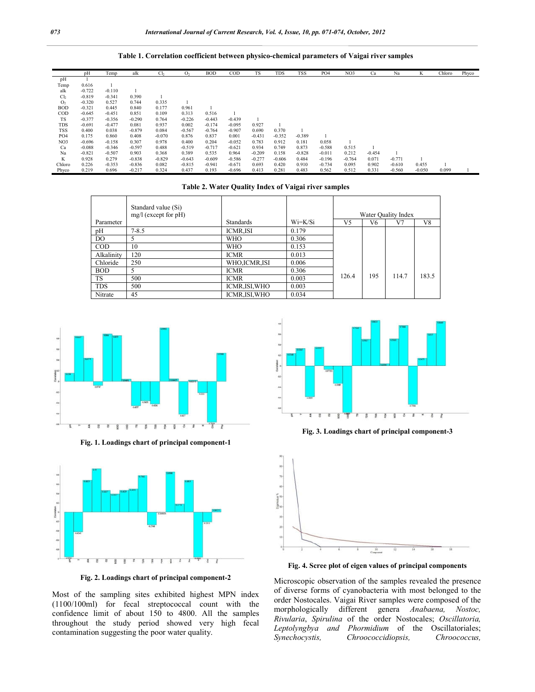**Table 1. Correlation coefficient between physico-chemical parameters of Vaigai river samples**

|                 | pH       | Temp     | alk      | Cl <sub>2</sub> | O <sub>2</sub> | <b>BOD</b> | $\rm{COD}$ | <b>TS</b> | <b>TDS</b> | <b>TSS</b> | PO <sub>4</sub> | NO3      | Ca       | Na       | K        | Chloro | Phyco |
|-----------------|----------|----------|----------|-----------------|----------------|------------|------------|-----------|------------|------------|-----------------|----------|----------|----------|----------|--------|-------|
| pH              |          |          |          |                 |                |            |            |           |            |            |                 |          |          |          |          |        |       |
| Temp            | 0.616    |          |          |                 |                |            |            |           |            |            |                 |          |          |          |          |        |       |
| alk             | $-0.722$ | $-0.110$ |          |                 |                |            |            |           |            |            |                 |          |          |          |          |        |       |
| Cl <sub>2</sub> | $-0.819$ | $-0.341$ | 0.390    |                 |                |            |            |           |            |            |                 |          |          |          |          |        |       |
| O <sub>2</sub>  | $-0.320$ | 0.527    | 0.744    | 0.335           |                |            |            |           |            |            |                 |          |          |          |          |        |       |
| <b>BOD</b>      | $-0.321$ | 0.445    | 0.840    | 0.177           | 0.961          |            |            |           |            |            |                 |          |          |          |          |        |       |
| COD             | $-0.645$ | $-0.451$ | 0.851    | 0.109           | 0.313          | 0.516      |            |           |            |            |                 |          |          |          |          |        |       |
| <b>TS</b>       | $-0.377$ | $-0.356$ | $-0.290$ | 0.764           | $-0.226$       | $-0.443$   | $-0.439$   |           |            |            |                 |          |          |          |          |        |       |
| <b>TDS</b>      | $-0.691$ | $-0.477$ | 0.081    | 0.937           | 0.002          | $-0.174$   | $-0.095$   | 0.927     |            |            |                 |          |          |          |          |        |       |
| <b>TSS</b>      | 0.400    | 0.038    | $-0.879$ | 0.084           | $-0.567$       | $-0.764$   | $-0.907$   | 0.690     | 0.370      |            |                 |          |          |          |          |        |       |
| PO <sub>4</sub> | 0.175    | 0.860    | 0.408    | $-0.070$        | 0.876          | 0.837      | 0.001      | $-0.431$  | $-0.352$   | $-0.389$   |                 |          |          |          |          |        |       |
| NO3             | $-0.696$ | $-0.158$ | 0.307    | 0.978           | 0.400          | 0.204      | $-0.052$   | 0.783     | 0.912      | 0.181      | 0.058           |          |          |          |          |        |       |
| Ca              | $-0.088$ | $-0.346$ | $-0.597$ | 0.488           | $-0.519$       | $-0.717$   | $-0.621$   | 0.934     | 0.749      | 0.873      | $-0.588$        | 0.515    |          |          |          |        |       |
| Na              | $-0.821$ | $-0.507$ | 0.903    | 0.368           | 0.389          | 0.535      | 0.964      | $-0.209$  | 0.158      | $-0.828$   | $-0.011$        | 0.212    | $-0.454$ |          |          |        |       |
| K               | 0.928    | 0.279    | $-0.838$ | $-0.829$        | $-0.643$       | $-0.609$   | $-0.586$   | $-0.277$  | $-0.606$   | 0.484      | $-0.196$        | $-0.764$ | 0.071    | $-0.771$ |          |        |       |
| Chloro          | 0.226    | $-0.353$ | $-0.836$ | 0.082           | $-0.815$       | $-0.941$   | $-0.671$   | 0.693     | 0.420      | 0.910      | $-0.734$        | 0.095    | 0.902    | $-0.610$ | 0.455    |        |       |
| Phyco           | 0.219    | 0.696    | $-0.217$ | 0.324           | 0.437          | 0.193      | $-0.696$   | 0.413     | 0.281      | 0.483      | 0.562           | 0.512    | 0.331    | $-0.560$ | $-0.050$ | 0.099  |       |

#### **Table 2. Water Quality Index of Vaigai river samples**

|            | Standard value (Si)    |                  |           |                     |     |       |       |  |  |
|------------|------------------------|------------------|-----------|---------------------|-----|-------|-------|--|--|
|            | $mg/l$ (except for pH) |                  |           | Water Quality Index |     |       |       |  |  |
| Parameter  |                        | <b>Standards</b> | $Wi=K/Si$ | V <sub>5</sub>      | V6  | V7    | V8    |  |  |
| pH         | $7 - 8.5$              | <b>ICMR.ISI</b>  | 0.179     |                     |     |       |       |  |  |
| DO         |                        | <b>WHO</b>       | 0.306     |                     |     |       |       |  |  |
| $\rm{COD}$ | 10                     | <b>WHO</b>       | 0.153     |                     |     |       |       |  |  |
| Alkalinity | 120                    | <b>ICMR</b>      | 0.013     |                     |     |       |       |  |  |
| Chloride   | 250                    | WHO, ICMR, ISI   | 0.006     |                     |     |       |       |  |  |
| <b>BOD</b> |                        | <b>ICMR</b>      | 0.306     |                     |     |       |       |  |  |
| <b>TS</b>  | 500                    | <b>ICMR</b>      | 0.003     | 126.4               | 195 | 114.7 | 183.5 |  |  |
| <b>TDS</b> | 500                    | ICMR, ISI, WHO   | 0.003     |                     |     |       |       |  |  |
| Nitrate    | 45                     | ICMR, ISI, WHO   | 0.034     |                     |     |       |       |  |  |



**Fig. 1. Loadings chart of principal component-1**



**Fig. 2. Loadings chart of principal component-2**

Most of the sampling sites exhibited highest MPN index (1100/100ml) for fecal streptococcal count with the confidence limit of about 150 to 4800. All the samples throughout the study period showed very high fecal contamination suggesting the poor water quality.



**Fig. 3. Loadings chart of principal component-3**



**Fig. 4. Scree plot of eigen values of principal components**

Microscopic observation of the samples revealed the presence of diverse forms of cyanobacteria with most belonged to the order Nostocales. Vaigai River samples were composed of the morphologically different genera *Anabaena, Nostoc, Rivularia*, *Spirulina* of the order Nostocales; *Oscillatoria, Leptolyngbya and Phormidium* of the Oscillatoriales; *Synechocystis, Chroococcidiopsis, Chroococcus,*